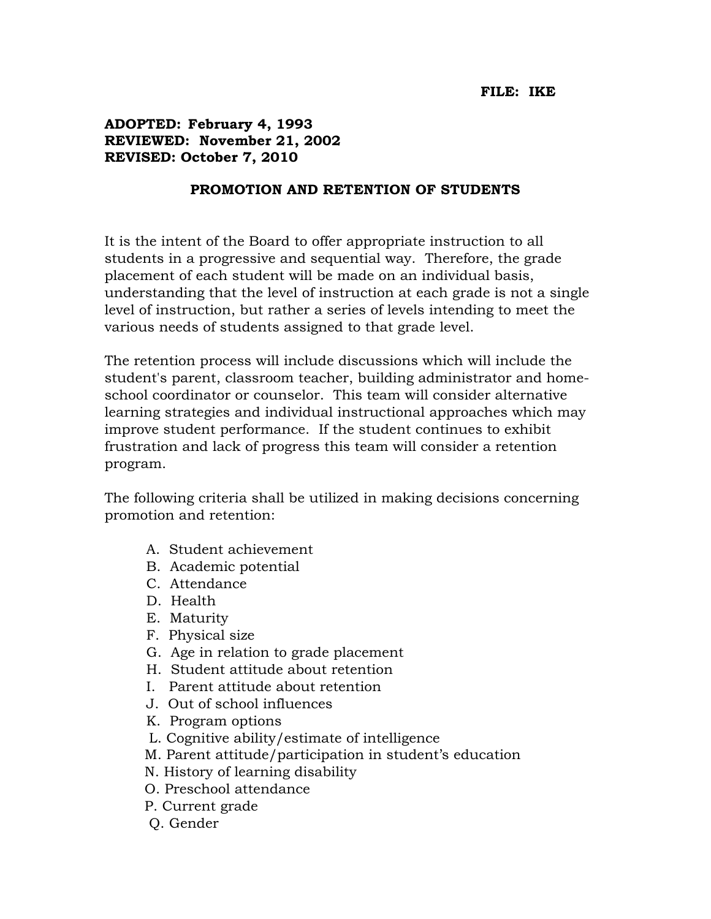## **FILE: IKE**

## **ADOPTED: February 4, 1993 REVIEWED: November 21, 2002 REVISED: October 7, 2010**

## **PROMOTION AND RETENTION OF STUDENTS**

It is the intent of the Board to offer appropriate instruction to all students in a progressive and sequential way. Therefore, the grade placement of each student will be made on an individual basis, understanding that the level of instruction at each grade is not a single level of instruction, but rather a series of levels intending to meet the various needs of students assigned to that grade level.

The retention process will include discussions which will include the student's parent, classroom teacher, building administrator and homeschool coordinator or counselor. This team will consider alternative learning strategies and individual instructional approaches which may improve student performance. If the student continues to exhibit frustration and lack of progress this team will consider a retention program.

The following criteria shall be utilized in making decisions concerning promotion and retention:

- A. Student achievement
- B. Academic potential
- C. Attendance
- D. Health
- E. Maturity
- F. Physical size
- G. Age in relation to grade placement
- H. Student attitude about retention
- I. Parent attitude about retention
- J. Out of school influences
- K. Program options
- L. Cognitive ability/estimate of intelligence
- M. Parent attitude/participation in student's education
- N. History of learning disability
- O. Preschool attendance
- P. Current grade
- Q. Gender